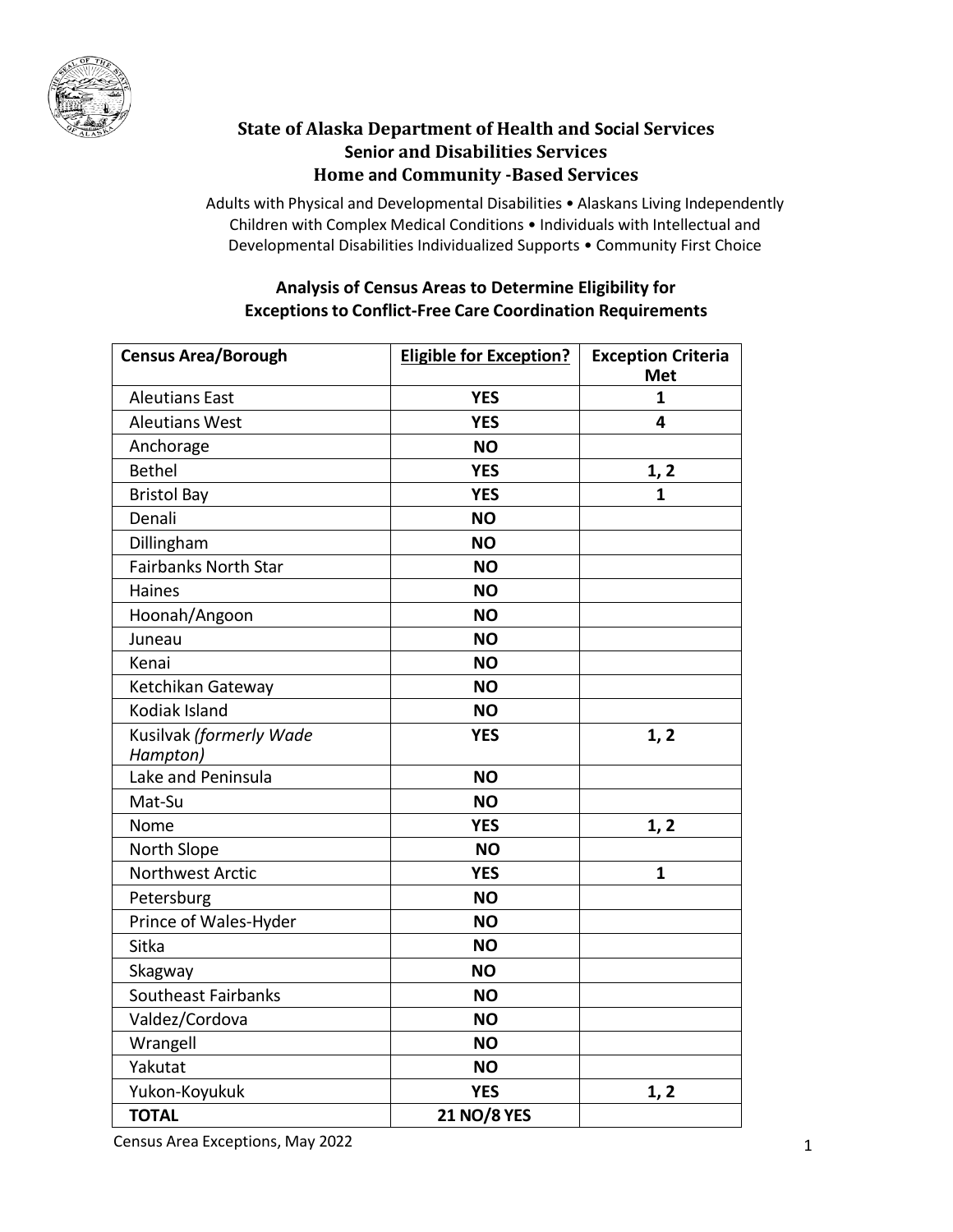

## **State of Alaska Department of Health and Social Services Senior and Disabilities Services Home and Community -Based Services**

Adults with Physical and Developmental Disabilities • Alaskans Living Independently Children with Complex Medical Conditions • Individuals with Intellectual and Developmental Disabilities Individualized Supports • Community First Choice

## **Analysis of Census Areas to Determine Eligibility for Exceptions to Conflict-Free Care Coordination Requirements**

| <b>Census Area/Borough</b>  | <b>Eligible for Exception?</b> | <b>Exception Criteria</b><br><b>Met</b> |
|-----------------------------|--------------------------------|-----------------------------------------|
| <b>Aleutians East</b>       | <b>YES</b>                     | 1                                       |
| <b>Aleutians West</b>       | <b>YES</b>                     | 4                                       |
| Anchorage                   | <b>NO</b>                      |                                         |
| <b>Bethel</b>               | <b>YES</b>                     | 1, 2                                    |
| <b>Bristol Bay</b>          | <b>YES</b>                     | 1                                       |
| Denali                      | <b>NO</b>                      |                                         |
| Dillingham                  | <b>NO</b>                      |                                         |
| <b>Fairbanks North Star</b> | <b>NO</b>                      |                                         |
| Haines                      | <b>NO</b>                      |                                         |
| Hoonah/Angoon               | <b>NO</b>                      |                                         |
| Juneau                      | <b>NO</b>                      |                                         |
| Kenai                       | <b>NO</b>                      |                                         |
| Ketchikan Gateway           | <b>NO</b>                      |                                         |
| Kodiak Island               | <b>NO</b>                      |                                         |
| Kusilvak (formerly Wade     | <b>YES</b>                     | 1, 2                                    |
| Hampton)                    |                                |                                         |
| Lake and Peninsula          | <b>NO</b>                      |                                         |
| Mat-Su                      | <b>NO</b>                      |                                         |
| Nome                        | <b>YES</b>                     | 1, 2                                    |
| North Slope                 | <b>NO</b>                      |                                         |
| <b>Northwest Arctic</b>     | <b>YES</b>                     | $\mathbf{1}$                            |
| Petersburg                  | <b>NO</b>                      |                                         |
| Prince of Wales-Hyder       | <b>NO</b>                      |                                         |
| Sitka                       | <b>NO</b>                      |                                         |
| Skagway                     | <b>NO</b>                      |                                         |
| <b>Southeast Fairbanks</b>  | <b>NO</b>                      |                                         |
| Valdez/Cordova              | <b>NO</b>                      |                                         |
| Wrangell                    | <b>NO</b>                      |                                         |
| Yakutat                     | <b>NO</b>                      |                                         |
| Yukon-Koyukuk               | <b>YES</b>                     | 1, 2                                    |
| <b>TOTAL</b>                | <b>21 NO/8 YES</b>             |                                         |

Census Area Exceptions, May 2022 1